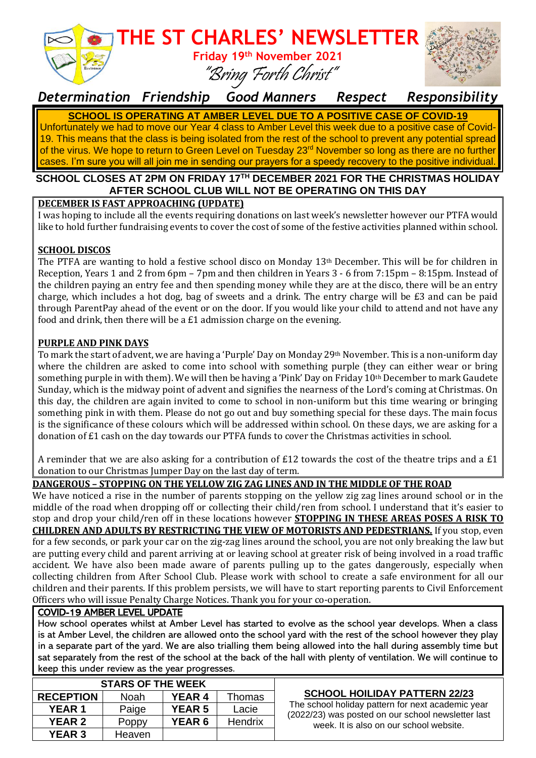

### *Determination Friendship Good Manners Respect Responsibility*

**SCHOOL IS OPERATING AT AMBER LEVEL DUE TO A POSITIVE CASE OF COVID-19** Unfortunately we had to move our Year 4 class to Amber Level this week due to a positive case of Covid-19. This means that the class is being isolated from the rest of the school to prevent any potential spread of the virus. We hope to return to Green Level on Tuesday 23<sup>rd</sup> November so long as there are no further cases. I'm sure you will all join me in sending our prayers for a speedy recovery to the positive individual.

#### **SCHOOL CLOSES AT 2PM ON FRIDAY 17TH DECEMBER 2021 FOR THE CHRISTMAS HOLIDAY AFTER SCHOOL CLUB WILL NOT BE OPERATING ON THIS DAY**

#### **DECEMBER IS FAST APPROACHING (UPDATE)**

I was hoping to include all the events requiring donations on last week's newsletter however our PTFA would like to hold further fundraising events to cover the cost of some of the festive activities planned within school.

#### **SCHOOL DISCOS**

The PTFA are wanting to hold a festive school disco on Monday 13th December. This will be for children in Reception, Years 1 and 2 from 6pm – 7pm and then children in Years 3 - 6 from 7:15pm – 8:15pm. Instead of the children paying an entry fee and then spending money while they are at the disco, there will be an entry charge, which includes a hot dog, bag of sweets and a drink. The entry charge will be £3 and can be paid through ParentPay ahead of the event or on the door. If you would like your child to attend and not have any food and drink, then there will be a £1 admission charge on the evening.

#### **PURPLE AND PINK DAYS**

To mark the start of advent, we are having a 'Purple' Day on Monday 29th November. This is a non-uniform day where the children are asked to come into school with something purple (they can either wear or bring something purple in with them). We will then be having a 'Pink' Day on Friday 10th December to mark Gaudete Sunday, which is the midway point of advent and signifies the nearness of the Lord's coming at Christmas. On this day, the children are again invited to come to school in non-uniform but this time wearing or bringing something pink in with them. Please do not go out and buy something special for these days. The main focus is the significance of these colours which will be addressed within school. On these days, we are asking for a donation of £1 cash on the day towards our PTFA funds to cover the Christmas activities in school.

A reminder that we are also asking for a contribution of  $E12$  towards the cost of the theatre trips and a  $E1$ donation to our Christmas Jumper Day on the last day of term.

#### **DANGEROUS – STOPPING ON THE YELLOW ZIG ZAG LINES AND IN THE MIDDLE OF THE ROAD**

We have noticed a rise in the number of parents stopping on the yellow zig zag lines around school or in the middle of the road when dropping off or collecting their child/ren from school. I understand that it's easier to stop and drop your child/ren off in these locations however **STOPPING IN THESE AREAS POSES A RISK TO CHILDREN AND ADULTS BY RESTRICTING THE VIEW OF MOTORISTS AND PEDESTRIANS.** If you stop, even for a few seconds, or park your car on the zig-zag lines around the school, you are not only breaking the law but are putting every child and parent arriving at or leaving school at greater risk of being involved in a road traffic accident. We have also been made aware of parents pulling up to the gates dangerously, especially when collecting children from After School Club. Please work with school to create a safe environment for all our children and their parents. If this problem persists, we will have to start reporting parents to Civil Enforcement Officers who will issue Penalty Charge Notices. Thank you for your co-operation.

#### COVID-19 AMBER LEVEL UPDATE

How school operates whilst at Amber Level has started to evolve as the school year develops. When a class is at Amber Level, the children are allowed onto the school yard with the rest of the school however they play in a separate part of the yard. We are also trialling them being allowed into the hall during assembly time but sat separately from the rest of the school at the back of the hall with plenty of ventilation. We will continue to keep this under review as the year progresses.

| <b>STARS OF THE WEEK</b> |        |               |         |  |
|--------------------------|--------|---------------|---------|--|
| <b>RECEPTION</b>         | Noah   | <b>YEAR 4</b> | Thomas  |  |
| <b>YEAR1</b>             | Paige  | <b>YEAR 5</b> | Lacie   |  |
| <b>YEAR 2</b>            | Poppy  | <b>YEAR 6</b> | Hendrix |  |
| <b>YEAR 3</b>            | Heaven |               |         |  |

#### **SCHOOL HOILIDAY PATTERN 22/23**

The school holiday pattern for next academic year (2022/23) was posted on our school newsletter last week. It is also on our school website.